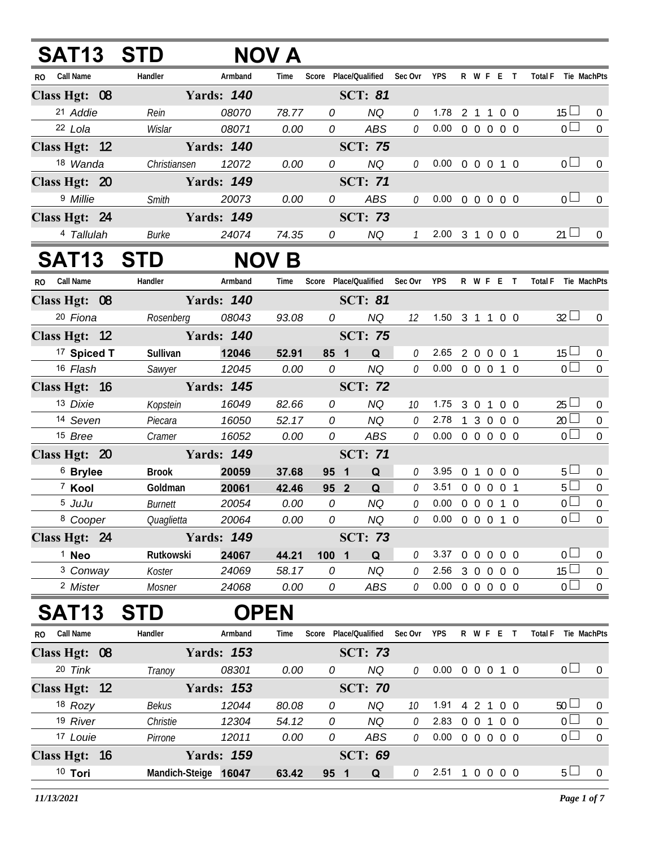| <b>SAT13 STD</b>       |                      |                   | NOV A        |                                   |                |               |                            |           |     |                               |                  |
|------------------------|----------------------|-------------------|--------------|-----------------------------------|----------------|---------------|----------------------------|-----------|-----|-------------------------------|------------------|
| RO Call Name           | Handler              | Armband           | Time         | Score Place/Qualified Sec Ovr YPS |                |               |                            | R W F E T |     | Total F Tie MachPts           |                  |
| Class Hgt: 08          |                      | <b>Yards: 140</b> |              |                                   | <b>SCT: 81</b> |               |                            |           |     |                               |                  |
| 21 Addie               | Rein                 | 08070             | 78.77        | 0                                 | <b>NQ</b>      | 0             | 1.78 2 1 1 0 0             |           |     | $15 \Box$                     | $\overline{0}$   |
| 22 Lola                | Wislar               | 08071             | 0.00         | 0                                 | ABS            | 0             | $0.00 \t0 \t0 \t0 \t0 \t0$ |           |     | $\overline{0}$                | $\boldsymbol{0}$ |
| Class Hgt: 12          |                      | <b>Yards: 140</b> |              |                                   | <b>SCT: 75</b> |               |                            |           |     |                               |                  |
| 18 Wanda               | Christiansen         | 12072             | 0.00         | 0                                 | <b>NQ</b>      | 0             | $0.00 \t0 \t0 \t0 \t1 \t0$ |           |     | 0 <sub>0</sub>                | $\overline{0}$   |
| Class Hgt: 20          |                      | <b>Yards: 149</b> |              |                                   | <b>SCT: 71</b> |               |                            |           |     |                               |                  |
| 9 Millie               | Smith                | 20073             | 0.00         | 0                                 | ABS            | 0             | $0.00 \t0 \t0 \t0 \t0 \t0$ |           |     | 0 <sub>0</sub>                | $\overline{0}$   |
| Class Hgt: 24          |                      | <b>Yards: 149</b> |              |                                   | <b>SCT: 73</b> |               |                            |           |     |                               |                  |
| 4 Tallulah             | <b>Burke</b>         | 24074             | 74.35        | 0                                 | NQ             | $\mathcal{I}$ | 2.00 3 1 0 0 0             |           |     | $21 \Box$                     | $\mathbf{0}$     |
| <b>SAT13</b>           | <b>STD</b>           |                   | <b>NOV B</b> |                                   |                |               |                            |           |     |                               |                  |
| RO Call Name           | Handler              | Armband           | Time         | Score Place/Qualified Sec Ovr     |                |               | <b>YPS</b>                 | R W F E T |     | Total F Tie MachPts           |                  |
| Class Hgt: 08          |                      | <b>Yards: 140</b> |              |                                   | <b>SCT: 81</b> |               |                            |           |     |                               |                  |
| 20 Fiona               | Rosenberg            | 08043             | 93.08        | 0                                 | <b>NQ</b>      | 12            | 1.50 3 1 1 0 0             |           |     | $32 \Box$                     | $\overline{0}$   |
| Class Hgt: 12          | Yards: 140           |                   |              |                                   | <b>SCT: 75</b> |               |                            |           |     |                               |                  |
| <sup>17</sup> Spiced T | Sullivan             | 12046             | 52.91        | 85 1                              | Q              | 0             | 2.65 2 0 0 0 1             |           |     | $15\Box$                      | $\pmb{0}$        |
| 16 Flash               | Sawyer               | 12045             | 0.00         | 0                                 | <b>NQ</b>      | 0             | $0.00 \t0 \t0 \t0 \t1 \t0$ |           |     | $\overline{0}$                | $\overline{0}$   |
| Class Hgt: 16          |                      | <b>Yards: 145</b> |              |                                   | <b>SCT: 72</b> |               |                            |           |     |                               |                  |
| 13 Dixie               | Kopstein             | 16049             | 82.66        | 0                                 | <b>NQ</b>      | 10            | 1.75 3 0 1 0 0             |           |     | $25 \Box$                     | $\pmb{0}$        |
| 14 Seven               | Piecara              | 16050             | 52.17        | 0                                 | NQ             | 0             | 2.78 1 3 0 0 0             |           |     | $20$ $\Box$                   | $\mathbf 0$      |
| 15 Bree                | Cramer               | 16052             | 0.00         | 0                                 | ABS            | 0             | $0.00 \t0 \t0 \t0 \t0 \t0$ |           |     | $\overline{0}$                | $\boldsymbol{0}$ |
| Class Hgt: 20          |                      | <b>Yards: 149</b> |              |                                   | <b>SCT: 71</b> |               |                            |           |     |                               |                  |
| <sup>6</sup> Brylee    | <b>Brook</b>         | 20059             | 37.68        | 95 1                              | Q              | 0             | 3.95 0 1 0 0 0             |           |     | $5 \Box$                      | $\overline{0}$   |
| <sup>7</sup> Kool      | Goldman              | 20061             | 42.46        | 95 <sup>2</sup>                   | $\mathbf Q$    | 0             | 3.51 0 0 0 0 1             |           |     | $5\Box$                       | $\overline{0}$   |
| 5 JuJu                 | <b>Burnett</b>       | 20054             | 0.00         | 0                                 | <b>NQ</b>      | 0             | $0.00 \t0 \t0 \t0 \t1 \t0$ |           |     | $\overline{0}$                | $\boldsymbol{0}$ |
| <sup>8</sup> Cooper    | Quaglietta           | 20064             | 0.00         | ${\cal O}$                        | <b>NQ</b>      | $\mathcal O$  | $0.00 \t0 \t0 \t0 \t1 \t0$ |           |     | $\overline{0}$                | $\overline{0}$   |
| Class Hgt: 24          |                      | <b>Yards: 149</b> |              |                                   | <b>SCT: 73</b> |               |                            |           |     |                               |                  |
| <sup>1</sup> Neo       | Rutkowski            | 24067             | 44.21        | 1001                              | Q              | 0             | 3.37 0 0 0 0 0             |           |     | 0 <sub>0</sub>                | $\mathbf 0$      |
| <sup>3</sup> Conway    | Koster               | 24069             | 58.17        | 0                                 | NQ             | 0             | 2.56 3 0 0 0 0             |           |     | $15\Box$                      | $\mathbf 0$      |
| <sup>2</sup> Mister    | Mosner               | 24068             | 0.00         | 0                                 | ABS            | 0             | $0.00 \t0 \t0 \t0 \t0 \t0$ |           |     | $0\square$                    | $\overline{0}$   |
| SAT <sub>13</sub>      | <b>STD</b>           |                   | <b>OPEN</b>  |                                   |                |               |                            |           |     |                               |                  |
| RO Call Name           | Handler              | Armband           | Time         | Score Place/Qualified             |                | Sec Ovr       | <b>YPS</b>                 | R W F E T |     | <b>Total F</b><br>Tie MachPts |                  |
| Class Hgt: 08          |                      | <b>Yards: 153</b> |              |                                   | <b>SCT: 73</b> |               |                            |           |     |                               |                  |
| 20 Tink                | Tranoy               | 08301             | 0.00         | 0                                 | <b>NQ</b>      | 0             | $0.00 \t0 \t0 \t0 \t1 \t0$ |           |     | 0 <sub>0</sub>                | $\overline{0}$   |
| Class Hgt: 12          |                      | <b>Yards: 153</b> |              |                                   | <b>SCT: 70</b> |               |                            |           |     |                               |                  |
| $18$ Rozy              | Bekus                | 12044             | 80.08        | 0                                 | <b>NQ</b>      | 10            | 1.91                       | $4\quad2$ | 100 | $50 \Box$                     | $\boldsymbol{0}$ |
| 19 River               | Christie             | 12304             | 54.12        | 0                                 | <b>NQ</b>      | 0             | 2.83 0 0 1 0 0             |           |     | $\overline{0}$                | $\boldsymbol{0}$ |
| 17 Louie               | Pirrone              | 12011             | 0.00         | 0                                 | ABS            | 0             | $0.00 \t0 \t0 \t0 \t0 \t0$ |           |     | $\overline{0}$                | $\boldsymbol{0}$ |
| Class Hgt: 16          |                      | <b>Yards: 159</b> |              |                                   | <b>SCT: 69</b> |               |                            |           |     |                               |                  |
| 10 Tori                | Mandich-Steige 16047 |                   | 63.42        | 95 1                              | $\mathbf Q$    | 0             | $2.51$ 1 0 0 0 0           |           |     | 5 <sub>1</sub>                | $\boldsymbol{0}$ |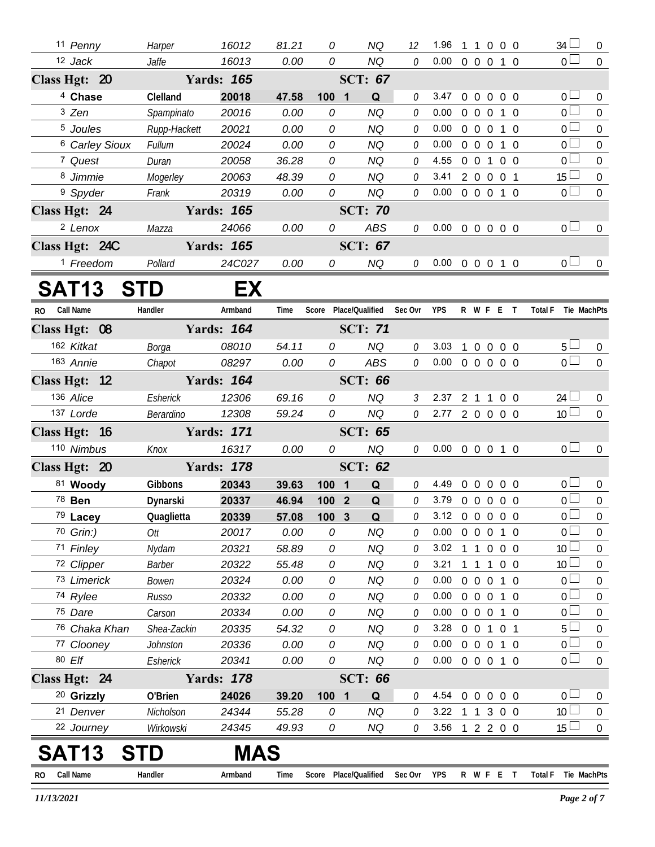| 11 Penny                  | Harper        | 16012             | 81.21 | 0       | NQ                    | 12            | 1.96                       |                | $\mathbf{1}$      |                | $0\quad 0\quad 0$ | $34 \Box$                     | $\mathbf{0}$     |
|---------------------------|---------------|-------------------|-------|---------|-----------------------|---------------|----------------------------|----------------|-------------------|----------------|-------------------|-------------------------------|------------------|
| 12 Jack                   | Jaffe         | 16013             | 0.00  | 0       | <b>NQ</b>             | 0             | $0.00 \t 0 \t 0 \t 0$      |                |                   |                | 1 0               | 0 <sup>1</sup>                | $\overline{0}$   |
| Class Hgt: 20             |               | <b>Yards: 165</b> |       |         | <b>SCT: 67</b>        |               |                            |                |                   |                |                   |                               |                  |
| <sup>4</sup> Chase        | Clelland      | 20018             | 47.58 | 1001    | Q                     | 0             | 3.47                       | $\mathbf{0}$   | $\mathbf 0$       | $\overline{0}$ | 0 <sub>0</sub>    | 0 <sub>0</sub>                | $\mathbf{0}$     |
| 3 Zen                     | Spampinato    | 20016             | 0.00  | 0       | <b>NQ</b>             | 0             | 0.00                       | $0\quad 0$     |                   | $\overline{0}$ | 1 0               | $\overline{0}$                | $\overline{0}$   |
| <sup>5</sup> Joules       | Rupp-Hackett  | 20021             | 0.00  | 0       | <b>NQ</b>             | 0             | 0.00                       | $\overline{0}$ | $\overline{0}$    | $\overline{0}$ | 1 0               | 0 <sub>0</sub>                | $\boldsymbol{0}$ |
| <sup>6</sup> Carley Sioux | <b>Fullum</b> | 20024             | 0.00  | 0       | <b>NQ</b>             | 0             | 0.00                       | $0\quad 0$     |                   | $\mathbf 0$    | $1\quad0$         | 0 <sup>1</sup>                | $\mathbf 0$      |
| 7 Quest                   | Duran         | 20058             | 36.28 | 0       | <b>NQ</b>             | 0             | 4.55                       | $\overline{0}$ | $\overline{0}$    |                | 1 0 0             | $\overline{0}$                | $\boldsymbol{0}$ |
| 8 Jimmie                  | Mogerley      | 20063             | 48.39 | 0       | <b>NQ</b>             | 0             | 3.41                       |                | 2 0 0 0 1         |                |                   | 15 <sup>1</sup>               | $\mathbf 0$      |
| <sup>9</sup> Spyder       | Frank         | 20319             | 0.00  | 0       | <b>NQ</b>             | 0             | 0.00                       |                |                   |                | 0 0 0 1 0         | $\overline{0}$                | $\mathbf 0$      |
| Class Hgt: 24             |               | <b>Yards: 165</b> |       |         | <b>SCT: 70</b>        |               |                            |                |                   |                |                   |                               |                  |
| <sup>2</sup> Lenox        | Mazza         | 24066             | 0.00  | 0       | <b>ABS</b>            | 0             | $0.00 \t0 \t0 \t0 \t0 \t0$ |                |                   |                |                   | 0 <sub>0</sub>                | $\mathbf 0$      |
| Class Hgt: 24C            |               | <b>Yards: 165</b> |       |         | <b>SCT: 67</b>        |               |                            |                |                   |                |                   |                               |                  |
| <sup>1</sup> Freedom      | Pollard       | 24C027            | 0.00  | 0       | <b>NQ</b>             | $\mathcal O$  | $0.00 \t0 \t0 \t0 \t1 \t0$ |                |                   |                |                   | 0 <sub>0</sub>                | $\overline{0}$   |
| SAT13                     | <b>STD</b>    | EX                |       |         |                       |               |                            |                |                   |                |                   |                               |                  |
| Call Name<br>RO.          | Handler       | Armband           | Time  |         | Score Place/Qualified | Sec Ovr       | <b>YPS</b>                 |                |                   |                | R W F E T         | <b>Total F</b><br>Tie MachPts |                  |
| Class Hgt: 08             |               | <b>Yards: 164</b> |       |         | <b>SCT: 71</b>        |               |                            |                |                   |                |                   |                               |                  |
| 162 Kitkat                | Borga         | 08010             | 54.11 | 0       | <b>NQ</b>             | 0             | 3.03                       |                | $\boldsymbol{0}$  | $\overline{0}$ | $0\quad 0$        | 5 <sub>1</sub>                | $\overline{0}$   |
| 163 Annie                 | Chapot        | 08297             | 0.00  | 0       | ABS                   | 0             | $0.00 \t0 \t0 \t0 \t0 \t0$ |                |                   |                |                   | $\overline{0}$                | $\Omega$         |
| Class Hgt: 12             |               | <b>Yards: 164</b> |       |         | <b>SCT: 66</b>        |               |                            |                |                   |                |                   |                               |                  |
| 136 Alice                 | Esherick      | 12306             | 69.16 | 0       | <b>NQ</b>             | $\mathcal{S}$ | 2.37                       |                | $2 \t1 \t1$       |                | $0\quad 0$        | $24$ $\Box$                   | $\overline{0}$   |
| 137 Lorde                 | Berardino     | 12308             | 59.24 | 0       | <b>NQ</b>             | 0             | 2.77 2 0 0 0 0             |                |                   |                |                   | 10 <sup>1</sup>               | $\overline{0}$   |
| Class Hgt: 16             |               | <b>Yards: 171</b> |       |         | <b>SCT: 65</b>        |               |                            |                |                   |                |                   |                               |                  |
| 110 Nimbus                | Knox          | 16317             | 0.00  | 0       | <b>NQ</b>             | 0             | 0.00                       |                |                   |                | 0 0 0 1 0         | 0 <sup>1</sup>                | $\boldsymbol{0}$ |
| Class Hgt: 20             |               | <b>Yards: 178</b> |       |         | <b>SCT: 62</b>        |               |                            |                |                   |                |                   |                               |                  |
| 81 Woody                  | Gibbons       | 20343             | 39.63 | $100$ 1 | Q                     | 0             | 4.49                       |                | $0\quad 0\quad 0$ |                | 0 <sub>0</sub>    | 0 <sub>0</sub>                | $\overline{0}$   |
| 78 <b>Ben</b>             | Dynarski      | 20337             | 46.94 | 100 2   | Q                     | 0             | 3.79                       |                |                   |                | 0 0 0 0 0         | $\overline{0}$                | $\mathbf 0$      |
| 79 Lacey                  | Quaglietta    | 20339             | 57.08 | 100 3   | $\mathbf Q$           | 0             | 3.12 0 0 0 0 0             |                |                   |                |                   | $\overline{0}$                | $\overline{0}$   |
| 70 Grin:)                 | Ott           | 20017             | 0.00  | 0       | NQ                    | 0             | 0.00                       | $\overline{0}$ | $\overline{0}$    |                | $0$ 1 $0$         | $\overline{0}$                | 0                |
| 71 Finley                 | Nydam         | 20321             | 58.89 | 0       | <b>NQ</b>             | 0             | 3.02                       |                | $1\quad1$         |                | $0\quad 0\quad 0$ | 10 <sup>°</sup>               | 0                |
| 72 Clipper                | <b>Barber</b> | 20322             | 55.48 | 0       | <b>NQ</b>             | 0             | 3.21                       | $\mathbf{1}$   | $\overline{1}$    | $\overline{1}$ | $0\quad 0$        | 10 <sup>°</sup>               | $\boldsymbol{0}$ |
| 73 Limerick               | Bowen         | 20324             | 0.00  | 0       | <b>NQ</b>             | 0             | 0.00                       | $0\quad 0$     |                   | $\overline{0}$ | $1\quad$ 0        | 0 <sup>1</sup>                | 0                |
| 74 Rylee                  | Russo         | 20332             | 0.00  | 0       | NQ                    | 0             | 0.00                       |                |                   |                | 0 0 0 1 0         | 0 <sub>0</sub>                | $\boldsymbol{0}$ |
| 75 Dare                   | Carson        | 20334             | 0.00  | 0       | <b>NQ</b>             | 0             | 0.00                       |                |                   |                | 0 0 0 1 0         | 0 <sup>1</sup>                | 0                |
| 76 Chaka Khan             | Shea-Zackin   | 20335             | 54.32 | 0       | <b>NQ</b>             | 0             | 3.28                       |                | 0 0 1 0 1         |                |                   | 5 <sup>1</sup>                | $\boldsymbol{0}$ |
| 77 Clooney                | Johnston      | 20336             | 0.00  | 0       | <b>NQ</b>             | 0             | 0.00                       |                | $0\quad 0$        |                | $0$ 1 $0$         | 0 <sup>1</sup>                | 0                |
| 80 Elf                    | Esherick      | 20341             | 0.00  | 0       | NQ                    | 0             | $0.00 \t0 \t0 \t0 \t1 \t0$ |                |                   |                |                   | 0 <sub>0</sub>                | $\mathbf 0$      |
| Class Hgt: 24             |               | <b>Yards: 178</b> |       |         | <b>SCT: 66</b>        |               |                            |                |                   |                |                   |                               |                  |
| <sup>20</sup> Grizzly     | O'Brien       | 24026             | 39.20 | 1001    | Q                     | 0             | 4.54                       | $0\quad 0$     |                   | $\overline{0}$ | $0\quad 0$        | $\overline{0}$                | $\mathbf{0}$     |
| 21 Denver                 | Nicholson     | 24344             | 55.28 | 0       | NQ                    | 0             | 3.22 1 1 3 0 0             |                |                   |                |                   | 10 <sup>1</sup>               | $\boldsymbol{0}$ |
| 22 Journey                | Wirkowski     | 24345             | 49.93 | 0       | NQ                    | 0             | 3.56 1 2 2 0 0             |                |                   |                |                   | 15                            | $\overline{0}$   |
| <b>SAT13</b>              | STD           | <b>MAS</b>        |       |         |                       |               |                            |                |                   |                |                   |                               |                  |
| <b>Call Name</b><br>RO.   | Handler       | Armband           | Time  |         | Score Place/Qualified | Sec Ovr YPS   |                            |                |                   |                | R W F E T         | Total F Tie MachPts           |                  |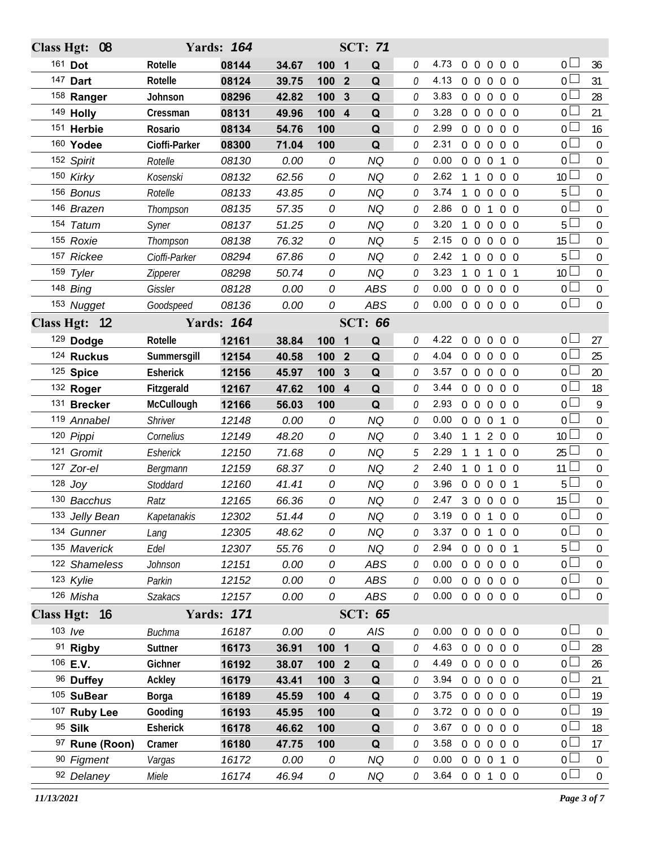| <b>Class Hgt:</b> | 08             |                 | <b>Yards: 164</b> |       |         |                | <b>SCT: 71</b> |   |                |                |                                  |                |                 |                  |
|-------------------|----------------|-----------------|-------------------|-------|---------|----------------|----------------|---|----------------|----------------|----------------------------------|----------------|-----------------|------------------|
|                   | 161 Dot        | Rotelle         | 08144             | 34.67 | 100     | $\mathbf 1$    | Q              | 0 | 4.73           | $\overline{0}$ | $\Omega$<br>$\overline{0}$       | $0\quad 0$     | 0 <sup>1</sup>  | 36               |
|                   | 147 Dart       | Rotelle         | 08124             | 39.75 | 100     | $\mathbf{2}$   | Q              | 0 | 4.13           | $0\quad 0$     | $\overline{0}$                   | 0 <sub>0</sub> | $0-$            | 31               |
|                   | 158 Ranger     | Johnson         | 08296             | 42.82 | 100     | 3              | Q              | 0 | 3.83           | 0 <sub>0</sub> | $\overline{0}$                   | $0\quad 0$     | οL              | 28               |
|                   | 149 Holly      | Cressman        | 08131             | 49.96 | 100     | $\overline{4}$ | Q              | 0 | 3.28           | $0\quad 0$     | $\overline{0}$                   | $0\quad 0$     | 0 <sub>0</sub>  | 21               |
|                   | 151 Herbie     | Rosario         | 08134             | 54.76 | 100     |                | Q              | 0 | 2.99           | $0\quad 0$     | $\overline{0}$                   | $0\quad 0$     | 0 l             | 16               |
|                   | 160 Yodee      | Cioffi-Parker   | 08300             | 71.04 | 100     |                | Q              | 0 | 2.31           | 0 <sub>0</sub> | $\overline{0}$                   | $0\quad 0$     | 0 <sub>0</sub>  | $\Omega$         |
|                   | 152 Spirit     | Rotelle         | 08130             | 0.00  | 0       |                | <b>NQ</b>      | 0 | 0.00           | $\overline{0}$ | $\overline{0}$<br>$\overline{0}$ | $1\quad$ 0     | 0 L             | $\boldsymbol{0}$ |
|                   | 150 Kirky      | Kosenski        | 08132             | 62.56 | 0       |                | <b>NQ</b>      | 0 | 2.62           | 1              | $\mathbf{1}$<br>$\overline{0}$   | $0\quad 0$     | 10 <sup>1</sup> | $\mathbf 0$      |
|                   | 156 Bonus      | Rotelle         | 08133             | 43.85 | 0       |                | <b>NQ</b>      | 0 | 3.74           | $\mathbf{1}$   | $\overline{0}$<br>$\overline{0}$ | $0\quad 0$     | 5 <sup>1</sup>  | $\boldsymbol{0}$ |
|                   | 146 Brazen     | Thompson        | 08135             | 57.35 | 0       |                | <b>NQ</b>      | 0 | 2.86           | $0\quad 0$     | $\mathbf{1}$                     | $0\quad 0$     | 0 <sub>0</sub>  | $\mathbf 0$      |
|                   | 154 Tatum      | Syner           | 08137             | 51.25 | 0       |                | <b>NQ</b>      | 0 | 3.20           | $\mathbf{1}$   | $\overline{0}$<br>$\overline{0}$ | $0\quad 0$     | 5 <sup>1</sup>  | $\boldsymbol{0}$ |
|                   | 155 Roxie      | Thompson        | 08138             | 76.32 | 0       |                | <b>NQ</b>      | 5 | 2.15           | $\overline{0}$ | $\overline{0}$<br>$\overline{0}$ | $0\quad 0$     | 15              | $\mathbf 0$      |
|                   | 157 Rickee     | Cioffi-Parker   | 08294             | 67.86 | 0       |                | <b>NQ</b>      | 0 | 2.42           | $\mathbf{1}$   | $\Omega$<br>$\overline{0}$       | $0\quad 0$     | 5               | $\boldsymbol{0}$ |
|                   | 159 Tyler      | Zipperer        | 08298             | 50.74 | 0       |                | <b>NQ</b>      | 0 | 3.23           | 1              | $\overline{0}$<br>1              | 0 <sub>1</sub> | 10              | $\mathbf 0$      |
|                   | 148 Bing       | Gissler         | 08128             | 0.00  | 0       |                | <b>ABS</b>     | 0 | 0.00           | $\overline{0}$ | $\Omega$<br>$\overline{0}$       | $0\quad 0$     | $\overline{0}$  | $\boldsymbol{0}$ |
|                   | 153 Nugget     | Goodspeed       | 08136             | 0.00  | 0       |                | <b>ABS</b>     | 0 | 0.00           |                | 0 0 0 0 0                        |                | 0 <sub>0</sub>  | $\mathbf 0$      |
|                   | Class Hgt: 12  |                 | <b>Yards: 164</b> |       |         |                | <b>SCT: 66</b> |   |                |                |                                  |                |                 |                  |
|                   | 129 Dodge      | Rotelle         | 12161             | 38.84 | 100     | $\mathbf 1$    | Q              | 0 | 4.22           |                | 00000                            |                | 0 <sub>0</sub>  | 27               |
|                   | 124 Ruckus     | Summersgill     | 12154             | 40.58 | 100     | $\mathbf{2}$   | Q              | 0 | 4.04           | $0\quad 0$     | $\overline{0}$                   | $0\quad 0$     | 0 <sup>1</sup>  | 25               |
|                   | 125 Spice      | <b>Esherick</b> | 12156             | 45.97 | 100     | 3              | Q              | 0 | 3.57           |                | $0\quad 0\quad 0$                | $0\quad 0$     | 0 L             | 20               |
|                   | 132 Roger      | Fitzgerald      | 12167             | 47.62 | 100     | $\overline{4}$ | Q              | 0 | 3.44           |                | $0\quad 0\quad 0$                | $0\quad 0$     | 0 <sub>0</sub>  | 18               |
|                   | 131 Brecker    | McCullough      | 12166             | 56.03 | 100     |                | Q              | 0 | 2.93           | $0\quad 0$     | $\overline{0}$                   | $0\quad 0$     | $0-$            | 9                |
|                   | 119 Annabel    | Shriver         | 12148             | 0.00  | 0       |                | <b>NQ</b>      | 0 | 0.00           | $0\quad 0$     | $\overline{0}$                   | $1\quad0$      | 0 <sub>0</sub>  | $\mathbf 0$      |
|                   | 120 Pippi      | Cornelius       | 12149             | 48.20 | 0       |                | <b>NQ</b>      | 0 | 3.40           |                | $1\quad1$<br>$\overline{2}$      | $0\quad 0$     | 10 <sup>L</sup> | $\boldsymbol{0}$ |
|                   | 121 Gromit     | Esherick        | 12150             | 71.68 | 0       |                | <b>NQ</b>      | 5 | 2.29           | $\mathbf{1}$   | $\overline{1}$<br>$\mathbf{1}$   | $0\quad 0$     | $25 \Box$       | $\mathbf 0$      |
|                   | 127 Zor-el     | Bergmann        | 12159             | 68.37 | 0       |                | <b>NQ</b>      | 2 | 2.40           | $1\quad0$      | $\mathbf{1}$                     | $0\quad 0$     | 11              | $\boldsymbol{0}$ |
|                   | $128$ Joy      | Stoddard        | 12160             | 41.41 | 0       |                | <b>NQ</b>      | 0 | 3.96           |                | $0\quad 0\quad 0$                | 0 <sub>1</sub> | $5^{\perp}$     | $\mathbf 0$      |
|                   | 130 Bacchus    | Ratz            | 12165             | 66.36 | 0       |                | <b>NQ</b>      | 0 | 2.47           |                | 3 0 0 0 0                        |                | 15 <sup>1</sup> | $\boldsymbol{0}$ |
|                   | 133 Jelly Bean | Kapetanakis     | 12302             | 51.44 | 0       |                | <b>NQ</b>      | 0 | 3.19 0 0 1 0 0 |                |                                  |                | $\overline{0}$  | $\overline{0}$   |
|                   | 134 Gunner     | Lang            | 12305             | 48.62 | 0       |                | <b>NQ</b>      | 0 | 3.37           |                | 0 0 1 0 0                        |                | $0\perp$        | $\overline{0}$   |
|                   | 135 Maverick   | Edel            | 12307             | 55.76 | 0       |                | <b>NQ</b>      | 0 | 2.94           |                | 0 0 0 0 1                        |                | 5 <sub>1</sub>  | $\boldsymbol{0}$ |
|                   | 122 Shameless  | Johnson         | 12151             | 0.00  | 0       |                | ABS            | 0 | 0.00           |                | 0 0 0 0 0                        |                | 0 L             | $\overline{0}$   |
|                   | 123 Kylie      | Parkin          | 12152             | 0.00  | 0       |                | ABS            | 0 | 0.00           |                | 0 0 0 0 0                        |                | 0 <sub>0</sub>  | $\boldsymbol{0}$ |
|                   | 126 Misha      | <b>Szakacs</b>  | 12157             | 0.00  | 0       |                | ABS            | 0 | 0.00           |                | 0 0 0 0 0                        |                | 0 <sub>0</sub>  | $\mathbf 0$      |
|                   | Class Hgt: 16  |                 | <b>Yards: 171</b> |       |         |                | <b>SCT: 65</b> |   |                |                |                                  |                |                 |                  |
|                   | 103 $Ive$      | <b>Buchma</b>   | 16187             | 0.00  | 0       |                | AIS            | 0 | 0.00           |                | 0 0 0 0 0                        |                | 0 <sub>0</sub>  | $\mathbf 0$      |
|                   | 91 Rigby       | Suttner         | 16173             | 36.91 | 100 1   |                | Q              | 0 | 4.63           |                | $0\quad 0\quad 0$                | $0\quad 0$     | 0 L             | 28               |
|                   | 106 E.V.       | Gichner         | 16192             | 38.07 | 100 2   |                | Q              | 0 | 4.49           |                | 0 0 0 0 0                        |                | 0 <sub>0</sub>  | 26               |
|                   | 96 Duffey      | Ackley          | 16179             | 43.41 | 100     | $\mathbf{3}$   | Q              | 0 | 3.94           |                | 00000                            |                | 0 l             | 21               |
|                   | 105 SuBear     | Borga           | 16189             | 45.59 | $100$ 4 |                | Q              | 0 | 3.75           |                | 0 0 0 0 0                        |                | 0 <sub>0</sub>  | 19               |
|                   | 107 Ruby Lee   | Gooding         | 16193             | 45.95 | 100     |                | Q              | 0 | 3.72           |                | 00000                            |                | 0 L             | 19               |
|                   | 95 Silk        | Esherick        | 16178             | 46.62 | 100     |                | Q              | 0 | 3.67           |                | 0 0 0 0 0                        |                | 0 <sup>2</sup>  | 18               |
|                   | 97 Rune (Roon) | Cramer          | 16180             | 47.75 | 100     |                | Q              | 0 | 3.58           |                | 00000                            |                | 0 <sub>0</sub>  | 17               |
|                   | 90 Figment     | Vargas          | 16172             | 0.00  | 0       |                | <b>NQ</b>      | 0 | 0.00           |                | 0 0 0 1 0                        |                | 0 <sub>1</sub>  | $\overline{0}$   |
|                   | 92 Delaney     | Miele           | 16174             | 46.94 | 0       |                | NQ             | 0 | 3.64           |                | 0 0 1 0 0                        |                | 0 <sub>0</sub>  | $\overline{0}$   |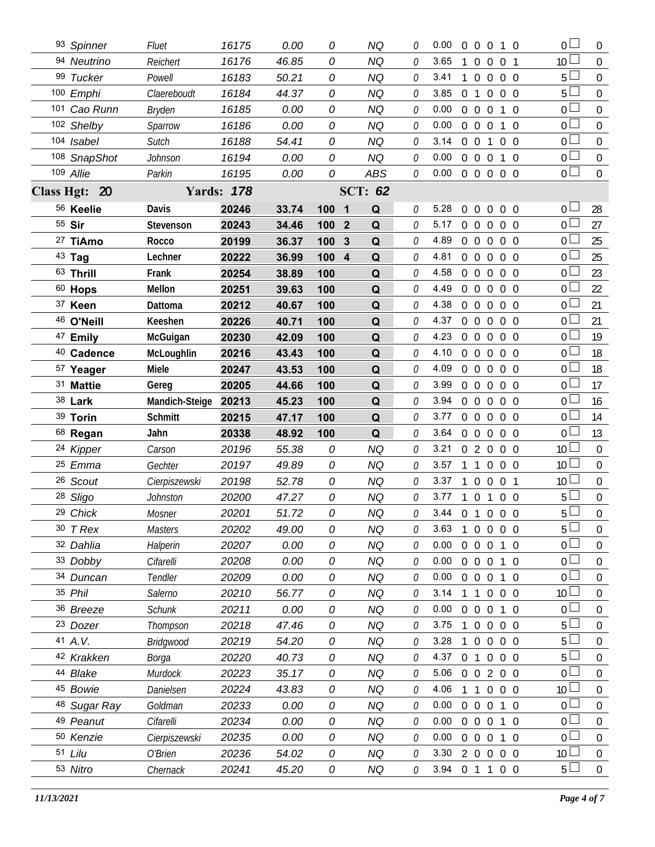| 93 Spinner           | Fluet            | 16175             | 0.00  | 0                     | <b>NQ</b>      | 0 | 0.00           |                | $0\quad 0\quad 0$                | 1 0               |                | 0 <sup>1</sup>  | $\bf{0}$         |
|----------------------|------------------|-------------------|-------|-----------------------|----------------|---|----------------|----------------|----------------------------------|-------------------|----------------|-----------------|------------------|
| 94 Neutrino          | Reichert         | 16176             | 46.85 | 0                     | <b>NQ</b>      | 0 | 3.65           | 1              | $\overline{0}$<br>$\overline{0}$ | 0 <sub>1</sub>    |                | 10 <sup>2</sup> | $\boldsymbol{0}$ |
| 99 Tucker            | Powell           | 16183             | 50.21 | 0                     | NQ             | 0 | 3.41           | 1              | $\overline{0}$                   | $0\quad 0\quad 0$ |                | 5 <sup>1</sup>  | $\boldsymbol{0}$ |
| 100 Emphi            | Claereboudt      | 16184             | 44.37 | 0                     | <b>NQ</b>      | 0 | 3.85           | 0 <sub>1</sub> | $\overline{0}$                   |                   | $0\quad 0$     | $5^{\perp}$     | $\boldsymbol{0}$ |
| 101 Cao Runn         | <b>Bryden</b>    | 16185             | 0.00  | 0                     | <b>NQ</b>      | 0 | 0.00           | $0\quad 0$     | $\mathbf 0$                      |                   | $1\quad$ 0     | 0 L             | $\mathbf 0$      |
| 102 Shelby           | Sparrow          | 16186             | 0.00  | 0                     | <b>NQ</b>      | 0 | 0.00           |                | $0\quad 0\quad 0$                |                   | 1 0            | 0 <sub>0</sub>  | $\boldsymbol{0}$ |
| 104 Isabel           | Sutch            | 16188             | 54.41 | 0                     | NQ             | 0 | 3.14           | $0\quad 0$     | 1                                |                   | $0\quad 0$     | 0 <sup>L</sup>  | $\boldsymbol{0}$ |
| 108 SnapShot         | Johnson          | 16194             | 0.00  | 0                     | <b>NQ</b>      | 0 | 0.00           |                | $0\quad 0\quad 0$                |                   | $1\quad0$      | 0 <sup>1</sup>  | $\boldsymbol{0}$ |
| 109 Allie            | Parkin           | 16195             | 0.00  | 0                     | <b>ABS</b>     | 0 | 0.00           |                | 00000                            |                   |                | $0\Box$         | $\mathbf 0$      |
| Class Hgt: 20        |                  | <b>Yards: 178</b> |       |                       | <b>SCT: 62</b> |   |                |                |                                  |                   |                |                 |                  |
| 56 Keelie            | Davis            | 20246             | 33.74 | 100 1                 | Q              | 0 | 5.28           | $\overline{0}$ | $\overline{0}$<br>$\mathbf 0$    |                   | $0\quad 0$     | 0 <sub>l</sub>  | 28               |
| 55 Sir               | Stevenson        | 20243             | 34.46 | $\overline{2}$<br>100 | Q              | 0 | 5.17           | 0 <sub>0</sub> | $\overline{0}$                   |                   | $0\quad 0$     | 0 <sub>0</sub>  | 27               |
| 27 TiAmo             | Rocco            | 20199             | 36.37 | 100<br>3              | Q              | 0 | 4.89           | $0\quad 0$     | $\overline{0}$                   |                   | $0\quad 0$     | 0 <sup>L</sup>  | 25               |
| 43 Tag               | Lechner          | 20222             | 36.99 | 100 4                 | Q              | 0 | 4.81           | $0\quad 0$     | $\overline{0}$                   |                   | $0\quad 0$     | 0 l             | 25               |
| 63 Thrill            | Frank            | 20254             | 38.89 | 100                   | Q              | 0 | 4.58           | $0\quad 0$     | $\overline{0}$                   |                   | $0\quad 0$     | 0 <sup>L</sup>  | 23               |
| $60$ Hops            | Mellon           | 20251             | 39.63 | 100                   | Q              | 0 | 4.49           | 0 <sub>0</sub> | $\overline{0}$                   |                   | 0 <sub>0</sub> | 0 <sup>1</sup>  | 22               |
| 37 Keen              | Dattoma          | 20212             | 40.67 | 100                   | Q              | 0 | 4.38           | $0\quad 0$     | $\overline{0}$                   |                   | $0\quad 0$     | 0               | 21               |
| 46 O'Neill           | Keeshen          | 20226             | 40.71 | 100                   | Q              | 0 | 4.37           | $0\quad 0$     | $\mathbf{0}$                     |                   | 0 <sub>0</sub> | $\overline{0}$  | 21               |
| 47 Emily             | McGuigan         | 20230             | 42.09 | 100                   | Q              | 0 | 4.23           | $0\quad 0$     | $\mathbf{0}$                     |                   | $0\quad 0$     | 0 <sup>1</sup>  | 19               |
| 40 Cadence           | McLoughlin       | 20216             | 43.43 | 100                   | Q              | 0 | 4.10           | $\overline{0}$ | $\Omega$<br>$\Omega$             |                   | 0 <sub>0</sub> | 0 <sup>1</sup>  | 18               |
| <sup>57</sup> Yeager | Miele            | 20247             | 43.53 | 100                   | Q              | 0 | 4.09           | $0\quad 0$     | $\overline{0}$                   |                   | $0\quad 0$     | 0 <sup>1</sup>  | 18               |
| 31 Mattie            | Gereg            | 20205             | 44.66 | 100                   | Q              | 0 | 3.99           | $0\quad 0$     | $\mathbf{0}$                     |                   | $0\quad 0$     | $\overline{0}$  | 17               |
| 38 Lark              | Mandich-Steige   | 20213             | 45.23 | 100                   | Q              | 0 | 3.94           | $0\quad 0$     | $\overline{0}$                   |                   | $0\quad 0$     | 0 <sup>1</sup>  | 16               |
|                      |                  |                   |       |                       |                |   |                |                |                                  |                   |                |                 |                  |
| 39 Torin             | Schmitt          | 20215             | 47.17 | 100                   | Q              | 0 | 3.77           | $0\quad 0$     | $\mathbf{0}$                     |                   | 0 <sub>0</sub> | $\overline{0}$  | 14               |
| 68 Regan             | Jahn             | 20338             | 48.92 | 100                   | Q              | 0 | 3.64           | $0\quad 0$     | $\overline{0}$                   |                   | $0\quad 0$     | 0 <sup>1</sup>  | 13               |
| 24 Kipper            | Carson           | 20196             | 55.38 | 0                     | ΝQ             | 0 | 3.21           |                | 020                              |                   | $0\quad 0$     | 10 <sup>1</sup> | $\overline{0}$   |
| 25 Emma              | Gechter          | 20197             | 49.89 | 0                     | <b>NQ</b>      | 0 | 3.57           | 1              | $\overline{0}$<br>$\overline{1}$ |                   | $0\quad 0$     | 10 <sup>°</sup> | $\mathbf 0$      |
| 26 Scout             | Cierpiszewski    | 20198             | 52.78 | 0                     | <b>NQ</b>      | 0 | 3.37           | 1              | $\overline{0}$<br>$\mathbf{0}$   | 0 <sub>1</sub>    |                | 10 <sup>°</sup> | $\mathbf 0$      |
| 28 Sligo             | Johnston         | 20200             | 47.27 | 0                     | <b>NQ</b>      | 0 | 3.77           | $\overline{1}$ | 0 <sub>1</sub>                   |                   | $0\quad 0$     | 5               | $\boldsymbol{0}$ |
| 29 Chick             | Mosner           | 20201             | 51.72 | 0                     | <b>NQ</b>      |   | 3.44 0 1 0 0 0 |                |                                  |                   |                | 5               | $\boldsymbol{0}$ |
| $30$ T Rex           | <b>Masters</b>   | 20202             | 49.00 | 0                     | <b>NQ</b>      | 0 | 3.63           | $\mathbf{1}$   | 0 0 0 0                          |                   |                | 5 <sup>1</sup>  | $\mathbf 0$      |
| 32 Dahlia            | Halperin         | 20207             | 0.00  | 0                     | <b>NQ</b>      | 0 | 0.00           | $\overline{0}$ | $\overline{0}$<br>$\overline{0}$ |                   | 1 0            | 0 <sup>1</sup>  | 0                |
| 33 Dobby             | Cifarelli        | 20208             | 0.00  | 0                     | <b>NQ</b>      | 0 | 0.00           |                | $0\quad 0\quad 0$                |                   | 1 0            | 0 <sup>1</sup>  | 0                |
| 34 Duncan            | Tendler          | 20209             | 0.00  | 0                     | NQ             | 0 | 0.00           | $0\quad 0$     | $\overline{0}$                   |                   | $1\quad$ 0     | 0 <sup>1</sup>  | 0                |
| 35 Phil              | Salerno          | 20210             | 56.77 | 0                     | <b>NQ</b>      | 0 | 3.14           | 1              | $\overline{0}$<br>$\overline{1}$ |                   | $0\quad 0$     | 10 <sup>°</sup> | 0                |
| 36 Breeze            | <b>Schunk</b>    | 20211             | 0.00  | 0                     | NQ             | 0 | 0.00           | $\Omega$       | $\overline{0}$<br>$\overline{0}$ |                   | 1 0            | $\overline{0}$  | 0                |
| 23 Dozer             | Thompson         | 20218             | 47.46 | 0                     | <b>NQ</b>      | 0 | 3.75           | 1              | $\overline{0}$<br>$\mathbf{0}$   |                   | $0\quad 0$     | 5 <sup>1</sup>  | 0                |
| 41 A.V.              | <b>Bridgwood</b> | 20219             | 54.20 | 0                     | NQ             | 0 | 3.28           |                | $\overline{0}$<br>$\Omega$       |                   | $0\quad 0$     | 5               | 0                |
| 42 Krakken           | Borga            | 20220             | 40.73 | 0                     | <b>NQ</b>      | 0 | 4.37           | 0 <sub>1</sub> | $\overline{0}$                   |                   | $0\quad 0$     | 5 <sup>1</sup>  | 0                |
| 44 Blake             | Murdock          | 20223             | 35.17 | 0                     | NQ             | 0 | 5.06           | $0\quad 0$     |                                  | 200               |                | $\overline{0}$  | 0                |
| 45 Bowie             | Danielsen        | 20224             | 43.83 | 0                     | <b>NQ</b>      | 0 | 4.06           |                | $\mathbf 0$<br>-1                |                   | $0\quad 0$     | 10 <sup>1</sup> | 0                |
| 48 Sugar Ray         | Goldman          | 20233             | 0.00  | 0                     | NQ             | 0 | 0.00           | $\overline{0}$ | $\overline{0}$<br>$\overline{0}$ |                   | $1\quad0$      | 0 <sup>1</sup>  | 0                |
| 49 Peanut            | Cifarelli        | 20234             | 0.00  | 0                     | <b>NQ</b>      | 0 | 0.00           | $0\quad 0$     | $\overline{0}$                   |                   | $1\quad0$      | 0 <sup>1</sup>  | 0                |
| 50 Kenzie            | Cierpiszewski    | 20235             | 0.00  | 0                     | <b>NQ</b>      | 0 | 0.00           | $0\quad 0$     | $\overline{0}$                   |                   | $1\quad0$      | 0 <sup>1</sup>  | $\mathbf 0$      |
| 51 Lilu              | O'Brien          | 20236             | 54.02 | 0                     | <b>NQ</b>      | 0 | 3.30           | $2\quad 0$     | $\overline{0}$                   |                   | $0\quad 0$     | 10 <sup>°</sup> | $\mathbf 0$      |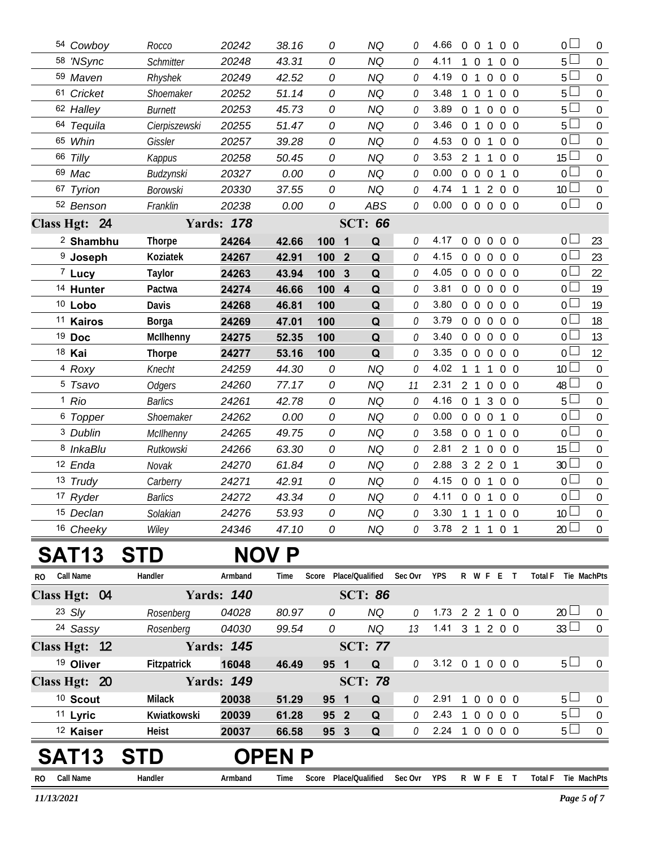|              | 54 Cowboy            | Rocco          | 20242             | 38.16        | 0                              | <b>NQ</b>      | 0           | 4.66             |                |                     | $0 \t0 \t1$         | 0 <sub>0</sub> | 0 <sub>0</sub>      | $\overline{0}$   |
|--------------|----------------------|----------------|-------------------|--------------|--------------------------------|----------------|-------------|------------------|----------------|---------------------|---------------------|----------------|---------------------|------------------|
|              | 58 'NSync            | Schmitter      | 20248             | 43.31        | 0                              | <b>NQ</b>      | 0           | 4.11             | $\mathbf{1}$   | $\overline{0}$      | 1                   | $0\quad 0$     | 5 <sub>1</sub>      | $\mathbf 0$      |
|              | 59 Maven             | Rhyshek        | 20249             | 42.52        | 0                              | <b>NQ</b>      | 0           | 4.19             |                | $0 \quad 1 \quad 0$ |                     | $0\quad 0$     | 5 <sup>1</sup>      | $\overline{0}$   |
|              | 61 Cricket           | Shoemaker      | 20252             | 51.14        | 0                              | <b>NQ</b>      | 0           | 3.48             |                | $1 \t0 \t1$         |                     | $0\quad 0$     | $5^{\perp}$         | $\mathbf 0$      |
|              | 62 Halley            | <b>Burnett</b> | 20253             | 45.73        | 0                              | <b>NQ</b>      | 0           | 3.89             |                | 0 <sub>1</sub>      | $\overline{0}$      | $0\quad 0$     | 5 <sup>1</sup>      | $\overline{0}$   |
|              | 64 Tequila           | Cierpiszewski  | 20255             | 51.47        | 0                              | <b>NQ</b>      | 0           | 3.46             |                | 0 <sub>1</sub>      | $\mathbf 0$         | $0\quad 0$     | 5 <sup>L</sup>      | $\boldsymbol{0}$ |
|              | 65 Whin              | Gissler        | 20257             | 39.28        | 0                              | <b>NQ</b>      | 0           | 4.53             |                | $0 \t0 \t1$         |                     | $0\quad 0$     | ΟL                  | $\overline{0}$   |
|              | 66 Tilly             | Kappus         | 20258             | 50.45        | 0                              | <b>NQ</b>      | 0           | 3.53             |                | 2 <sub>1</sub>      | 1                   | $0\quad 0$     | $15 -$              | $\boldsymbol{0}$ |
|              | 69 Mac               | Budzynski      | 20327             | 0.00         | 0                              | <b>NQ</b>      | 0           | 0.00             |                | $0\quad 0\quad 0$   |                     | $1\quad0$      | 0 <sup>1</sup>      | $\overline{0}$   |
|              | 67 Tyrion            | Borowski       | 20330             | 37.55        | 0                              | <b>NQ</b>      | 0           | 4.74             |                | $1\quad1$           |                     | 200            | 10 <sup>L</sup>     | $\mathbf 0$      |
|              | 52 Benson            | Franklin       | 20238             | 0.00         | 0                              | <b>ABS</b>     | 0           | 0.00             |                | $0\quad 0\quad 0$   |                     | $0\quad 0$     | 0 <sub>0</sub>      | $\boldsymbol{0}$ |
|              | Class Hgt: 24        |                | <b>Yards: 178</b> |              |                                | <b>SCT: 66</b> |             |                  |                |                     |                     |                |                     |                  |
|              | <sup>2</sup> Shambhu | <b>Thorpe</b>  | 24264             | 42.66        | 100 1                          | Q              | 0           | 4.17             |                | $0\quad 0$          | $\mathbf 0$         | $0\quad 0$     | 0 l                 | 23               |
|              | <sup>9</sup> Joseph  | Koziatek       | 24267             | 42.91        | 100<br>$\mathbf{2}$            | Q              | 0           | 4.15             |                | $0\quad 0$          | $\overline{0}$      | $0\quad 0$     | 0 l                 | 23               |
|              | 7 Lucy               | <b>Taylor</b>  | 24263             | 43.94        | 100<br>3                       | Q              | 0           | 4.05             |                | $0\quad 0\quad 0$   |                     | 0 <sub>0</sub> | 0 L                 | 22               |
|              | <sup>14</sup> Hunter | Pactwa         | 24274             | 46.66        | 100<br>$\overline{\mathbf{4}}$ | Q              | 0           | 3.81             |                | $0\quad 0$          | $\overline{0}$      | $0\quad 0$     | 0 l                 | 19               |
|              | 10 Lobo              | Davis          | 24268             | 46.81        | 100                            | Q              | 0           | 3.80             |                | $0\quad 0\quad 0$   |                     | 0 <sub>0</sub> | οl                  | 19               |
|              | <sup>11</sup> Kairos | Borga          | 24269             | 47.01        | 100                            | Q              | 0           | 3.79             |                | $0\quad 0$          | $\overline{0}$      | $0\quad 0$     | 0 l                 | 18               |
|              | <sup>19</sup> Doc    | McIlhenny      | 24275             | 52.35        | 100                            | Q              | 0           | 3.40             |                | $0\quad 0\quad 0$   |                     | $0\quad 0$     | 0 L                 | 13               |
|              | 18 Kai               | <b>Thorpe</b>  | 24277             | 53.16        | 100                            | Q              | 0           | 3.35             |                | $0\quad 0$          | $\overline{0}$      | $0\quad 0$     | 0 l                 | 12               |
|              | <sup>4</sup> Roxy    | Knecht         | 24259             | 44.30        | 0                              | <b>NQ</b>      | 0           | 4.02             |                | 1 1                 | 1                   | $0\quad 0$     | 10 <sup>1</sup>     | $\mathbf 0$      |
|              | <sup>5</sup> Tsavo   | <b>Odgers</b>  | 24260             | 77.17        | 0                              | <b>NQ</b>      | 11          | 2.31             |                | 2 <sub>1</sub>      | $\mathbf 0$         | $0\quad 0$     | 48 l                | 0                |
|              | <sup>1</sup> Rio     | <b>Barlics</b> | 24261             | 42.78        | 0                              | <b>NQ</b>      | 0           | 4.16             | 0 <sub>1</sub> |                     | 3                   | $0\quad 0$     | 5 <sup>1</sup>      | $\mathbf 0$      |
|              | <sup>6</sup> Topper  | Shoemaker      | 24262             | 0.00         | 0                              | <b>NQ</b>      | 0           | 0.00             |                | $0\quad 0$          | $\overline{0}$      | $1\quad0$      | 0 L                 | $\overline{0}$   |
|              | <sup>3</sup> Dublin  | McIlhenny      | 24265             | 49.75        | 0                              | <b>NQ</b>      | 0           | 3.58             |                | $0\quad 0$          | $\mathbf{1}$        | 0 <sub>0</sub> | 0 <sup>1</sup>      | $\boldsymbol{0}$ |
|              | <sup>8</sup> InkaBlu | Rutkowski      | 24266             | 63.30        | 0                              | <b>NQ</b>      | 0           | 2.81             |                | 2 <sub>1</sub>      | $\overline{0}$      | $0\quad 0$     | 15 <sup>1</sup>     | $\overline{0}$   |
|              | 12 Enda              | Novak          | 24270             | 61.84        | 0                              | <b>NQ</b>      | 0           | 2.88             |                |                     | $3 \quad 2 \quad 2$ | 0 <sub>1</sub> | 30 <sup>2</sup>     | $\boldsymbol{0}$ |
|              | 13 Trudy             | Carberry       | 24271             | 42.91        | 0                              | <b>NQ</b>      | 0           | 4.15             |                | $0\quad 0$          | $\overline{1}$      | 0 <sub>0</sub> | 0 L                 | $\overline{0}$   |
|              | 17 Ryder             | <b>Barlics</b> | 24272             | 43.34        | 0                              | NQ             | 0           | 4.11             |                | $0 \t0 \t1$         |                     | $0\quad 0$     | 0 l                 | $\mathbf 0$      |
|              | 15 Declan            | Solakian       | 24276             | 53.93        | 0                              | NQ             | 0           | 3.30 1 1 1 0 0   |                |                     |                     |                | 10 <sup>°</sup>     | $\boldsymbol{0}$ |
|              | 16 Cheeky            | Wiley          | 24346             | 47.10        | 0                              | <b>NQ</b>      | 0           | 3.78 2 1 1 0 1   |                |                     |                     |                | 20 <sup>L</sup>     | $\overline{0}$   |
|              |                      |                |                   |              |                                |                |             |                  |                |                     |                     |                |                     |                  |
|              | <b>SAT13</b>         | <b>STD</b>     |                   | <b>NOV P</b> |                                |                |             |                  |                |                     |                     |                |                     |                  |
| RO.          | Call Name            | Handler        | Armband           | Time         | Score Place/Qualified          |                | Sec Ovr     | <b>YPS</b>       |                |                     |                     | R W F E T      | Total F Tie MachPts |                  |
|              | Class Hgt: 04        |                | <b>Yards: 140</b> |              |                                | <b>SCT: 86</b> |             |                  |                |                     |                     |                |                     |                  |
|              | $23$ Sly             | Rosenberg      | 04028             | 80.97        | 0                              | <b>NQ</b>      | 0           | 1.73             |                | $2 \t2 \t1$         |                     | $0\quad 0$     | $20 \Box$           | $\overline{0}$   |
|              | 24 Sassy             | Rosenberg      | 04030             | 99.54        | 0                              | <b>NQ</b>      | 13          | 1.41 3 1 2 0 0   |                |                     |                     |                | $33 \Box$           | $\overline{0}$   |
|              | Class Hgt: 12        |                | <b>Yards: 145</b> |              |                                | <b>SCT: 77</b> |             |                  |                |                     |                     |                |                     |                  |
|              | <sup>19</sup> Oliver | Fitzpatrick    | 16048             | 46.49        | 95 1                           | Q              | 0           | 3.12 0 1 0 0 0   |                |                     |                     |                | $5+$                | $\mathbf 0$      |
|              |                      |                |                   |              |                                |                |             |                  |                |                     |                     |                |                     |                  |
|              | Class Hgt: 20        |                | <b>Yards: 149</b> |              |                                | <b>SCT: 78</b> |             |                  |                |                     |                     |                |                     |                  |
|              | <sup>10</sup> Scout  | <b>Milack</b>  | 20038             | 51.29        | 95 1                           | Q              | 0           | 2.91             |                |                     |                     | 1 0 0 0 0      | $5 \perp$           | $\overline{0}$   |
|              | 11 Lyric             | Kwiatkowski    | 20039             | 61.28        | 95 2                           | Q              | 0           | 2.43             |                |                     |                     | 1 0 0 0 0      | $5\Box$             | $\boldsymbol{0}$ |
|              | <sup>12</sup> Kaiser | Heist          | 20037             | 66.58        | 95 3                           | Q              | 0           | $2.24$ 1 0 0 0 0 |                |                     |                     |                | 5 <sub>1</sub>      | $\pmb{0}$        |
|              | <b>SAT13</b>         | <b>STD</b>     |                   | <b>OPENP</b> |                                |                |             |                  |                |                     |                     |                |                     |                  |
|              |                      | Handler        |                   |              |                                |                |             |                  |                |                     |                     |                |                     |                  |
| RO Call Name |                      |                | Armband           | Time         | Score Place/Qualified          |                | Sec Ovr YPS |                  |                |                     |                     | R W F E T      | Total F Tie MachPts |                  |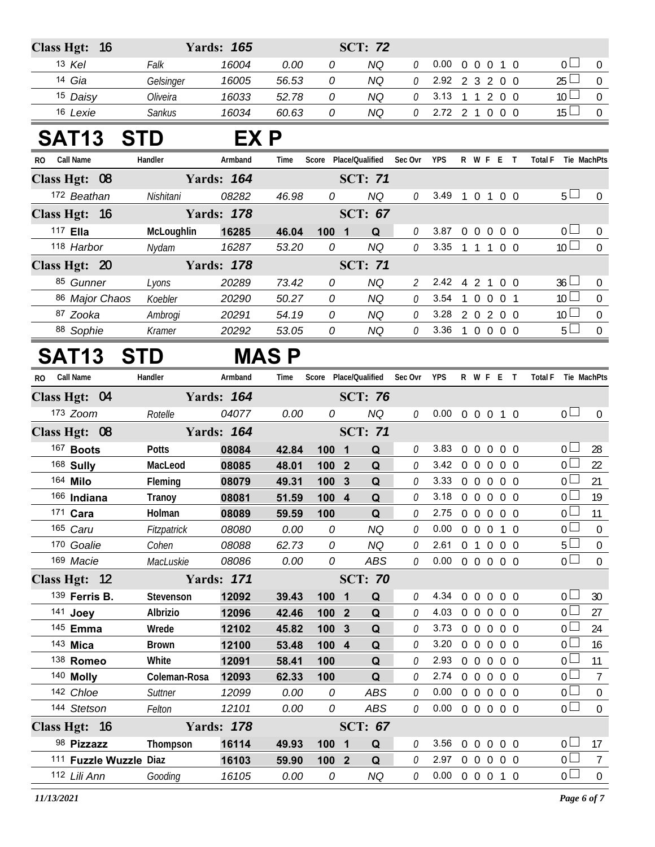| <b>Class Hgt:</b><br>16 |              | <b>Yards: 165</b> |              |                                | <b>SCT: 72</b> |                             |      |                |                               |                |                               |                  |
|-------------------------|--------------|-------------------|--------------|--------------------------------|----------------|-----------------------------|------|----------------|-------------------------------|----------------|-------------------------------|------------------|
| 13 Kel                  | Falk         | 16004             | 0.00         | 0                              | <b>NQ</b>      | 0                           | 0.00 | $\overline{0}$ | $\mathbf 0$<br>$\mathbf 0$    | $1\quad0$      | 0 <sup>1</sup>                | $\mathbf 0$      |
| 14 Gia                  | Gelsinger    | 16005             | 56.53        | 0                              | <b>NQ</b>      | 0                           | 2.92 |                | 2 3 2 0 0                     |                | $25$ $\Box$                   | $\boldsymbol{0}$ |
| 15 Daisy                | Oliveira     | 16033             | 52.78        | 0                              | <b>NQ</b>      | 0                           | 3.13 |                | 1 1 2 0 0                     |                | 10 <sup>1</sup>               | $\boldsymbol{0}$ |
| 16 Lexie                | Sankus       | 16034             | 60.63        | 0                              | <b>NQ</b>      | 0                           |      |                | 2.72 2 1 0 0 0                |                | 15 <sup>2</sup>               | $\boldsymbol{0}$ |
| <b>SAT13</b>            | <b>STD</b>   | EX P              |              |                                |                |                             |      |                |                               |                |                               |                  |
| Call Name<br>RO.        | Handler      | Armband           | Time         | Score Place/Qualified          |                | Sec Ovr                     | YPS  |                | R W F E T                     |                | <b>Total F</b><br>Tie MachPts |                  |
| Class Hgt: 08           |              | <b>Yards: 164</b> |              |                                | <b>SCT: 71</b> |                             |      |                |                               |                |                               |                  |
| 172 Beathan             | Nishitani    | 08282             | 46.98        | 0                              | <b>NQ</b>      | 0                           | 3.49 |                | 1 0 1 0 0                     |                | 5 <sub>1</sub>                | $\pmb{0}$        |
| Class Hgt: 16           |              | <b>Yards: 178</b> |              |                                | <b>SCT: 67</b> |                             |      |                |                               |                |                               |                  |
| 117 Ella                | McLoughlin   | 16285             | 46.04        | 100<br>$\overline{\mathbf{1}}$ | Q              | 0                           | 3.87 | $0\quad 0$     | $\overline{0}$                | $0\quad 0$     | 0 <sup>L</sup>                | $\mathbf 0$      |
| 118 Harbor              | Nydam        | 16287             | 53.20        | 0                              | <b>NQ</b>      | 0                           | 3.35 |                | $1 \t1 \t1$                   | $0\quad 0$     | 10 <sup>1</sup>               | $\boldsymbol{0}$ |
| Class Hgt: 20           |              | <b>Yards: 178</b> |              |                                | <b>SCT: 71</b> |                             |      |                |                               |                |                               |                  |
| 85 Gunner               | Lyons        | 20289             | 73.42        | 0                              | <b>NQ</b>      | $\mathcal{L}_{\mathcal{L}}$ | 2.42 |                | 4 2 1                         | $0\quad 0$     | 36 <sup>l</sup>               | 0                |
| 86 Major Chaos          | Koebler      | 20290             | 50.27        | 0                              | <b>NQ</b>      | 0                           | 3.54 | $\mathbf{1}$   | $\overline{0}$<br>$\mathbf 0$ | 0 <sub>1</sub> | 10 <sup>L</sup>               | $\boldsymbol{0}$ |
| 87 Zooka                | Ambrogi      | 20291             | 54.19        | 0                              | <b>NQ</b>      | 0                           | 3.28 |                | 2 0 2 0 0                     |                | 10 <sup>1</sup>               | 0                |
| 88 Sophie               | Kramer       | 20292             | 53.05        | 0                              | NQ             | 0                           | 3.36 |                | 1 0 0 0 0                     |                | 5 <sup>1</sup>                | $\boldsymbol{0}$ |
| <b>SAT13</b>            | <b>STD</b>   |                   | <b>MAS P</b> |                                |                |                             |      |                |                               |                |                               |                  |
| <b>Call Name</b><br>RO. | Handler      | Armband           | Time         | Score Place/Qualified          |                | Sec Ovr                     | YPS  |                | R W F E T                     |                | <b>Total F</b><br>Tie MachPts |                  |
| Class Hgt: 04           |              | <b>Yards: 164</b> |              |                                | <b>SCT: 76</b> |                             |      |                |                               |                |                               |                  |
| 173 Zoom                | Rotelle      | 04077             | 0.00         | 0                              | <b>NQ</b>      | 0                           | 0.00 |                | 0 0 0 1 0                     |                | 0 <sub>0</sub>                | $\overline{0}$   |
| Class Hgt: 08           |              | <b>Yards: 164</b> |              |                                | <b>SCT: 71</b> |                             |      |                |                               |                |                               |                  |
| 167 Boots               | <b>Potts</b> | 08084             | 42.84        | 100<br>$\overline{\mathbf{1}}$ | Q              | 0                           | 3.83 | $0\quad 0$     | $0\quad 0\quad 0$             |                | 0 <sub>1</sub>                | 28               |
| 168 Sully               | MacLeod      | 08085             | 48.01        | 100<br>$\overline{2}$          | Q              | 0                           | 3.42 |                | $0\quad 0\quad 0$             | $0\quad 0$     | $\overline{0}$                | 22               |
| 164 Milo                | Fleming      | 08079             | 49.31        | 100<br>$\mathbf{3}$            | Q              | 0                           | 3.33 | $0\quad 0$     | $\mathbf 0$                   | $0\quad 0$     | 0 <sup>1</sup><br>21          |                  |
| 166 Indiana             | Tranoy       | 08081             | 51.59        | 100 4                          | Q              | 0                           | 3.18 |                | $0\quad 0\quad 0$             | $0\quad 0$     | 0 <sup>L</sup>                | 19               |
| 171 Cara                | Holman       | 08089             | 59.59        | 100                            | Q              | 0                           | 2.75 |                | $0\quad 0\quad 0$             | $0\quad 0$     | 0 <sup>1</sup>                | 11               |
| 165 Caru                | Fitzpatrick  | 08080             | 0.00         | 0                              | <b>NQ</b>      | 0                           | 0.00 |                | 0 0 0 1 0                     |                | 0 <sup>1</sup>                | 0                |
| 170 Goalie              | Cohen        | 08088             | 62.73        | 0                              | <b>NQ</b>      | 0                           | 2.61 |                | 0 1 0 0 0                     |                | 5 <sup>1</sup>                | $\boldsymbol{0}$ |
| 169 Macie               | MacLuskie    | 08086             | 0.00         | 0                              | ABS            | 0                           | 0.00 |                | 0 0 0 0 0                     |                | $0\square$                    | $\mathbf 0$      |
| Class Hgt: 12           |              | <b>Yards: 171</b> |              |                                | <b>SCT: 70</b> |                             |      |                |                               |                |                               |                  |
| 139 Ferris B.           | Stevenson    | 12092             | 39.43        | 100 1                          | Q              | 0                           | 4.34 |                | 0 0 0 0 0                     |                | 0 <sub>0</sub>                | 30               |
| 141 Joey                | Albrizio     | 12096             | 42.46        | 100 2                          | Q              | 0                           | 4.03 |                | 0 0 0 0 0                     |                | $0-$                          | 27               |
| 145 Emma                | Wrede        | 12102             | 45.82        | 100 3                          | Q              | 0                           | 3.73 |                | 0 0 0 0 0                     |                | 0 <sup>1</sup>                | 24               |
| 143 Mica                | <b>Brown</b> | 12100             | 53.48        | 100 4                          | Q              | 0                           | 3.20 |                | 0 0 0 0 0                     |                | 0 <sub>0</sub>                | 16               |
| 138 Romeo               | White        | 12091             | 58.41        | 100                            | Q              | 0                           | 2.93 |                | 0 0 0 0 0                     |                | 0 <sup>1</sup>                | 11               |
| 140 Molly               | Coleman-Rosa | 12093             | 62.33        | 100                            | Q              | 0                           | 2.74 |                | 0 0 0 0 0                     |                | 0 <sup>1</sup>                | $\overline{7}$   |
| 142 Chloe               | Suttner      | 12099             | 0.00         | 0                              | ABS            | 0                           | 0.00 |                | 0 0 0 0 0                     |                | 0 <sub>0</sub>                | $\boldsymbol{0}$ |
| 144 Stetson             | Felton       | 12101             | 0.00         | 0                              | ABS            | 0                           |      |                | $0.00 \t0 \t0 \t0 \t0 \t0$    |                | 0 <sup>1</sup>                | $\boldsymbol{0}$ |
| Class Hgt: 16           |              | <b>Yards: 178</b> |              |                                | <b>SCT: 67</b> |                             |      |                |                               |                |                               |                  |
| 98 Pizzazz              | Thompson     | 16114             | 49.93        | 1001                           | Q              | 0                           |      |                | 3.56 0 0 0 0 0                |                | 0 <sub>l</sub>                | 17               |

 **Fuzzle Wuzzle Diaz 16103 59.90 100 2 Q** *0* 2.97 0 0 0 0 0 0 7 *Lili Ann Gooding 16105 0.00 0 NQ 0* 0.00 0 0 0 0 1 0 0